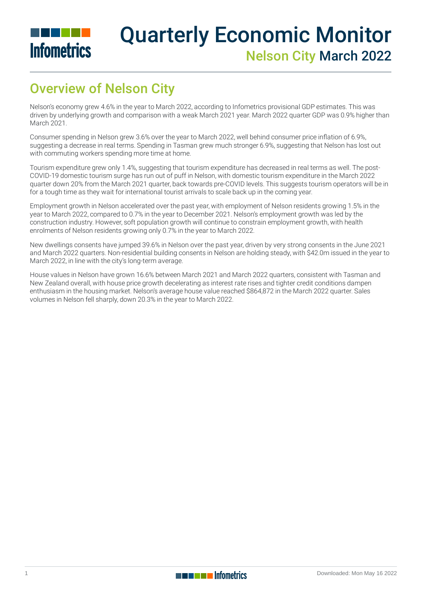

# Quarterly Economic Monitor Nelson City March 2022

# Overview of Nelson City

Nelson's economy grew 4.6% in the year to March 2022, according to Infometrics provisional GDP estimates. This was driven by underlying growth and comparison with a weak March 2021 year. March 2022 quarter GDP was 0.9% higher than March 2021.

Consumer spending in Nelson grew 3.6% over the year to March 2022, well behind consumer price inflation of 6.9%, suggesting a decrease in real terms. Spending in Tasman grew much stronger 6.9%, suggesting that Nelson has lost out with commuting workers spending more time at home.

Tourism expenditure grew only 1.4%, suggesting that tourism expenditure has decreased in real terms as well. The post-COVID-19 domestic tourism surge has run out of puff in Nelson, with domestic tourism expenditure in the March 2022 quarter down 20% from the March 2021 quarter, back towards pre-COVID levels. This suggests tourism operators will be in for a tough time as they wait for international tourist arrivals to scale back up in the coming year.

Employment growth in Nelson accelerated over the past year, with employment of Nelson residents growing 1.5% in the year to March 2022, compared to 0.7% in the year to December 2021. Nelson's employment growth was led by the construction industry. However, soft population growth will continue to constrain employment growth, with health enrolments of Nelson residents growing only 0.7% in the year to March 2022.

New dwellings consents have jumped 39.6% in Nelson over the past year, driven by very strong consents in the June 2021 and March 2022 quarters. Non-residential building consents in Nelson are holding steady, with \$42.0m issued in the year to March 2022, in line with the city's long-term average.

House values in Nelson have grown 16.6% between March 2021 and March 2022 quarters, consistent with Tasman and New Zealand overall, with house price growth decelerating as interest rate rises and tighter credit conditions dampen enthusiasm in the housing market. Nelson's average house value reached \$864,872 in the March 2022 quarter. Sales volumes in Nelson fell sharply, down 20.3% in the year to March 2022.

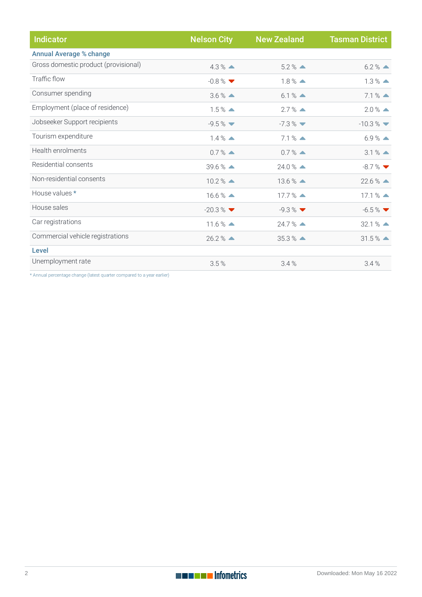| <b>Indicator</b>                     | <b>Nelson City</b>   | <b>New Zealand</b>            | <b>Tasman District</b>         |
|--------------------------------------|----------------------|-------------------------------|--------------------------------|
| <b>Annual Average % change</b>       |                      |                               |                                |
| Gross domestic product (provisional) | $4.3\%$ $\triangle$  | $5.2\%$ $\triangle$           | $6.2\%$ $\triangle$            |
| Traffic flow                         | $-0.8\%$             | $1.8\%$ $\triangle$           | $1.3\%$ $\triangle$            |
| Consumer spending                    | $3.6\%$ $\triangle$  | $6.1%$ $\triangle$            | $7.1%$ $\triangle$             |
| Employment (place of residence)      | $1.5\%$ $\triangle$  | $2.7\%$ $\triangle$           | $2.0\%$ $\triangle$            |
| Jobseeker Support recipients         | $-9.5%$              | $-7.3\%$ $\blacktriangledown$ | $-10.3\%$ $\blacktriangledown$ |
| Tourism expenditure                  | $1.4\%$ $\triangle$  | $7.1%$ $\triangle$            | $6.9%$ $\triangle$             |
| Health enrolments                    | $0.7\%$ $\triangle$  | $0.7%$ $\triangle$            | $3.1%$ $\triangle$             |
| Residential consents                 | $39.6\%$ $\triangle$ | $24.0\%$ $\triangle$          | $-8.7%$                        |
| Non-residential consents             | $10.2\%$ $\triangle$ | $13.6\%$ $\triangle$          | $22.6\%$ $\triangle$           |
| House values *                       | $16.6\%$ $\triangle$ | $17.7\%$ $\triangle$          | $17.1%$ $\triangle$            |
| House sales                          | $-20.3\%$            | $-9.3\%$                      | $-6.5\%$                       |
| Car registrations                    | $11.6\%$ $\triangle$ | $24.7%$ $\triangle$           | $32.1%$ $\triangle$            |
| Commercial vehicle registrations     | $26.2%$ $\triangle$  | $35.3%$ $\triangle$           | $31.5%$ $\triangle$            |
| Level                                |                      |                               |                                |
| Unemployment rate                    | 3.5%                 | 3.4%                          | 3.4%                           |

\* Annual percentage change (latest quarter compared to a year earlier)

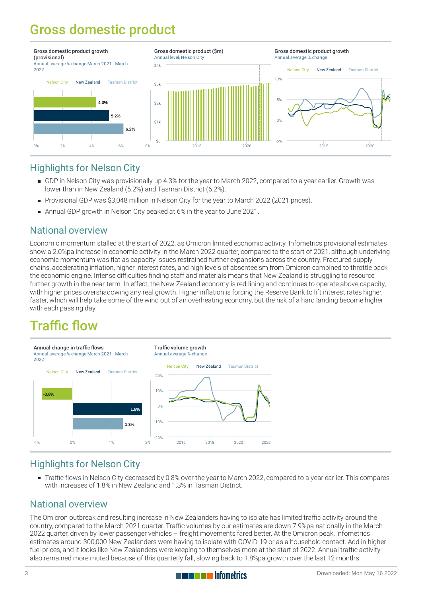# Gross domestic product



#### Highlights for Nelson City

- [GDP](https://staging-qem.infometrics.co.nz/nelson-city/notes#gross-domestic-product) in Nelson City was provisionally up 4.3% for the year to March 2022, compared to a year earlier. Growth was lower than in New Zealand (5.2%) and Tasman District (6.2%).
- Provisional GDP was \$3,048 million in Nelson City for the year to March 2022 (2021 prices).
- Annual GDP growth in Nelson City peaked at 6% in the year to June 2021.

#### National overview

Economic momentum stalled at the start of 2022, as Omicron limited economic activity. Infometrics provisional estimates show a 2.0%pa increase in economic activity in the March 2022 quarter, compared to the start of 2021, although underlying economic momentum was flat as capacity issues restrained further expansions across the country. Fractured supply chains, accelerating inflation, higher interest rates, and high levels of absenteeism from Omicron combined to throttle back the economic engine. Intense difficulties finding staff and materials means that New Zealand is struggling to resource further growth in the near-term. In effect, the New Zealand economy is red-lining and continues to operate above capacity, with higher prices overshadowing any real growth. Higher inflation is forcing the Reserve Bank to lift interest rates higher, faster, which will help take some of the wind out of an overheating economy, but the risk of a hard landing become higher with each passing day.

# Traffic flow



#### Highlights for Nelson City

[Traffic](https://staging-qem.infometrics.co.nz/nelson-city/notes#traffic-flow) flows in Nelson City decreased by 0.8% over the year to March 2022, compared to a year earlier. This compares with increases of 1.8% in New Zealand and 1.3% in Tasman District.

#### National overview

The Omicron outbreak and resulting increase in New Zealanders having to isolate has limited traffic activity around the country, compared to the March 2021 quarter. Traffic volumes by our estimates are down 7.9%pa nationally in the March 2022 quarter, driven by lower passenger vehicles – freight movements fared better. At the Omicron peak, Infometrics estimates around 300,000 New Zealanders were having to isolate with COVID-19 or as a household contact. Add in higher fuel prices, and it looks like New Zealanders were keeping to themselves more at the start of 2022. Annual traffic activity also remained more muted because of this quarterly fall, slowing back to 1.8%pa growth over the last 12 months.

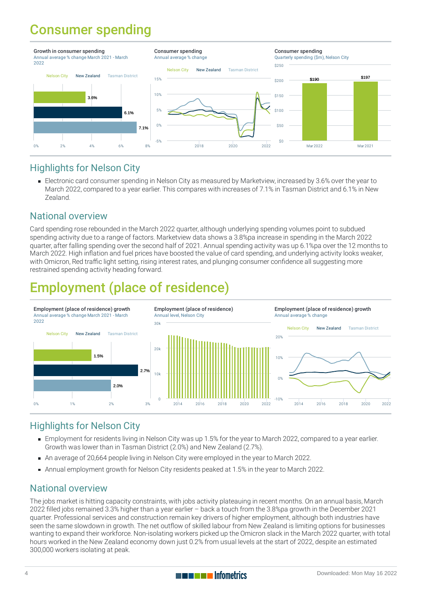### Consumer spending



#### Highlights for Nelson City

Electronic card [consumer](https://staging-qem.infometrics.co.nz/nelson-city/notes#consumer-spending) spending in Nelson City as measured by Marketview, increased by 3.6% over the year to March 2022, compared to a year earlier. This compares with increases of 7.1% in Tasman District and 6.1% in New Zealand.

#### National overview

Card spending rose rebounded in the March 2022 quarter, although underlying spending volumes point to subdued spending activity due to a range of factors. Marketview data shows a 3.8%pa increase in spending in the March 2022 quarter, after falling spending over the second half of 2021. Annual spending activity was up 6.1%pa over the 12 months to March 2022. High inflation and fuel prices have boosted the value of card spending, and underlying activity looks weaker, with Omicron, Red traffic light setting, rising interest rates, and plunging consumer confidence all suggesting more restrained spending activity heading forward.

# Employment (place of residence)



#### Highlights for Nelson City

- [Employment](https://staging-qem.infometrics.co.nz/nelson-city/notes#employment) for residents living in Nelson City was up 1.5% for the year to March 2022, compared to a year earlier. Growth was lower than in Tasman District (2.0%) and New Zealand (2.7%).
- An average of 20,664 people living in Nelson City were employed in the year to March 2022.
- Annual employment growth for Nelson City residents peaked at 1.5% in the year to March 2022.

#### National overview

The jobs market is hitting capacity constraints, with jobs activity plateauing in recent months. On an annual basis, March 2022 filled jobs remained 3.3% higher than a year earlier – back a touch from the 3.8%pa growth in the December 2021 quarter. Professional services and construction remain key drivers of higher employment, although both industries have seen the same slowdown in growth. The net outflow of skilled labour from New Zealand is limiting options for businesses wanting to expand their workforce. Non-isolating workers picked up the Omicron slack in the March 2022 quarter, with total hours worked in the New Zealand economy down just 0.2% from usual levels at the start of 2022, despite an estimated 300,000 workers isolating at peak.

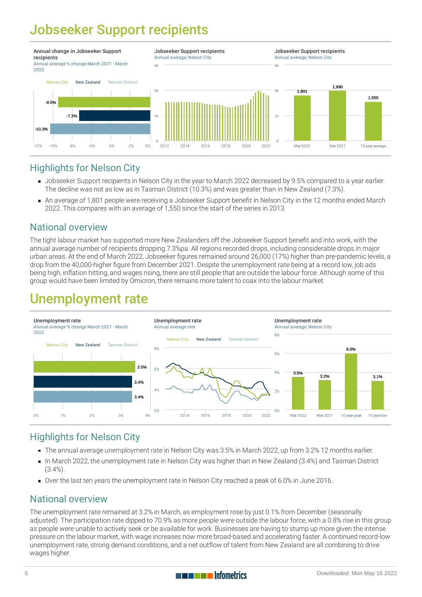# Jobseeker Support recipients



#### Highlights for Nelson City

- [Jobseeker](https://staging-qem.infometrics.co.nz/nelson-city/notes#jobseeker-support-recipients) Support recipients in Nelson City in the year to March 2022 decreased by 9.5% compared to a year earlier. The decline was not as low as in Tasman District (10.3%) and was greater than in New Zealand (7.3%).
- An average of 1,801 people were receiving a Jobseeker Support benefit in Nelson City in the 12 months ended March 2022. This compares with an average of 1,550 since the start of the series in 2013.

#### National overview

The tight labour market has supported more New Zealanders off the Jobseeker Support benefit and into work, with the annual average number of recipients dropping 7.3%pa. All regions recorded drops, including considerable drops in major urban areas. At the end of March 2022, Jobseeker figures remained around 26,000 (17%) higher than pre-pandemic levels, a drop from the 40,000-higher figure from December 2021. Despite the unemployment rate being at a record low, job ads being high, inflation hitting, and wages rising, there are still people that are outside the labour force. Although some of this group would have been limited by Omicron, there remains more talent to coax into the labour market.

### Unemployment rate



#### Highlights for Nelson City

- The annual average [unemployment](https://staging-qem.infometrics.co.nz/nelson-city/notes#unemployment-rate) rate in Nelson City was 3.5% in March 2022, up from 3.2% 12 months earlier.
- In March 2022, the unemployment rate in Nelson City was higher than in New Zealand (3.4%) and Tasman District (3.4%).
- Over the last ten years the unemployment rate in Nelson City reached a peak of 6.0% in June 2016.

#### National overview

The unemployment rate remained at 3.2% in March, as employment rose by just 0.1% from December (seasonally adjusted). The participation rate dipped to 70.9% as more people were outside the labour force, with a 0.8% rise in this group as people were unable to actively seek or be available for work. Businesses are having to stump up more given the intense pressure on the labour market, with wage increases now more broad-based and accelerating faster. A continued record-low unemployment rate, strong demand conditions, and a net outflow of talent from New Zealand are all combining to drive wages higher.

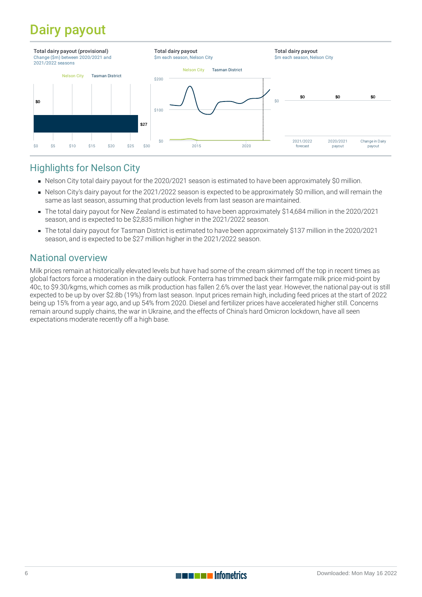# Dairy payout



#### Highlights for Nelson City

- Nelson City total dairy payout for the 2020/2021 season is estimated to have been approximately \$0 million.
- Nelson City's dairy payout for the 2021/2022 season is expected to be approximately \$0 million, and will remain the same as last season, assuming that production levels from last season are maintained.
- The total dairy payout for New Zealand is estimated to have been approximately \$14,684 million in the 2020/2021 season, and is expected to be \$2,835 million higher in the 2021/2022 season.
- The total dairy payout for Tasman District is estimated to have been approximately \$137 million in the 2020/2021 season, and is expected to be \$27 million higher in the 2021/2022 season.

#### National overview

Milk prices remain at historically elevated levels but have had some of the cream skimmed off the top in recent times as global factors force a moderation in the dairy outlook. Fonterra has trimmed back their farmgate milk price mid-point by 40c, to \$9.30/kgms, which comes as milk production has fallen 2.6% over the last year. However, the national pay-out is still expected to be up by over \$2.8b (19%) from last season. Input prices remain high, including feed prices at the start of 2022 being up 15% from a year ago, and up 54% from 2020. Diesel and fertilizer prices have accelerated higher still. Concerns remain around supply chains, the war in Ukraine, and the effects of China's hard Omicron lockdown, have all seen expectations moderate recently off a high base.

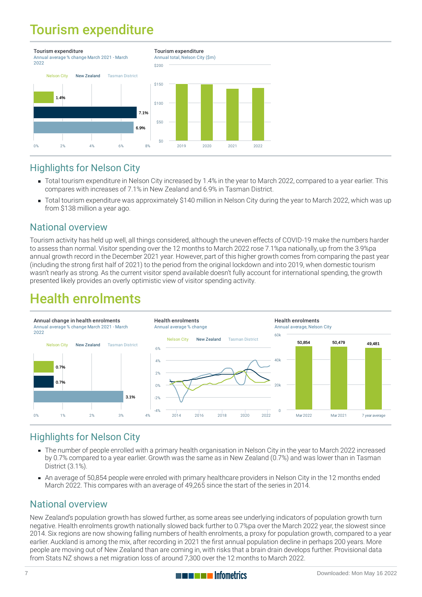### Tourism expenditure



#### Highlights for Nelson City

- Total tourism expenditure in Nelson City increased by 1.4% in the year to March 2022, compared to a year earlier. This compares with increases of 7.1% in New Zealand and 6.9% in Tasman District.
- Total tourism expenditure was approximately \$140 million in Nelson City during the year to March 2022, which was up from \$138 million a year ago.

#### National overview

Tourism activity has held up well, all things considered, although the uneven effects of COVID-19 make the numbers harder to assess than normal. Visitor spending over the 12 months to March 2022 rose 7.1%pa nationally, up from the 3.9%pa annual growth record in the December 2021 year. However, part of this higher growth comes from comparing the past year (including the strong first half of 2021) to the period from the original lockdown and into 2019, when domestic tourism wasn't nearly as strong. As the current visitor spend available doesn't fully account for international spending, the growth presented likely provides an overly optimistic view of visitor spending activity.

### Health enrolments



#### Highlights for Nelson City

- The number of people [enrolled](https://staging-qem.infometrics.co.nz/nelson-city/notes#health-enrolments) with a primary health organisation in Nelson City in the year to March 2022 increased by 0.7% compared to a year earlier. Growth was the same as in New Zealand (0.7%) and was lower than in Tasman District (3.1%).
- An average of 50,854 people were enroled with primary healthcare providers in Nelson City in the 12 months ended March 2022. This compares with an average of 49,265 since the start of the series in 2014.

#### National overview

New Zealand's population growth has slowed further, as some areas see underlying indicators of population growth turn negative. Health enrolments growth nationally slowed back further to 0.7%pa over the March 2022 year, the slowest since 2014. Six regions are now showing falling numbers of health enrolments, a proxy for population growth, compared to a year earlier. Auckland is among the mix, after recording in 2021 the first annual population decline in perhaps 200 years. More people are moving out of New Zealand than are coming in, with risks that a brain drain develops further. Provisional data from Stats NZ shows a net migration loss of around 7,300 over the 12 months to March 2022.

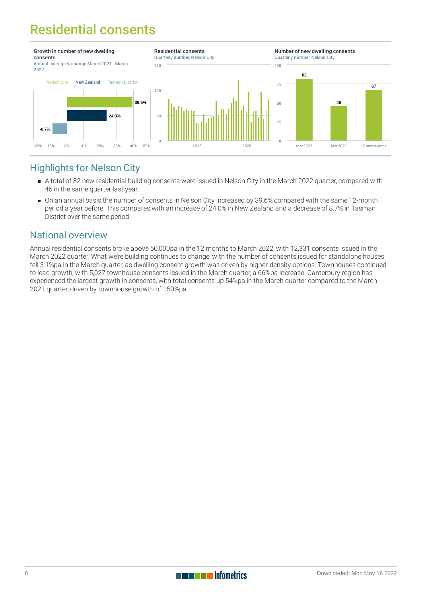# Residential consents



#### Highlights for Nelson City

- A total of 82 new residential building [consents](https://staging-qem.infometrics.co.nz/nelson-city/notes#building-consents) were issued in Nelson City in the March 2022 quarter, compared with 46 in the same quarter last year.
- On an annual basis the number of consents in Nelson City increased by 39.6% compared with the same 12-month period a year before. This compares with an increase of 24.0% in New Zealand and a decrease of 8.7% in Tasman District over the same period.

#### National overview

Annual residential consents broke above 50,000pa in the 12 months to March 2022, with 12,331 consents issued in the March 2022 quarter. What we're building continues to change, with the number of consents issued for standalone houses fell 3.1%pa in the March quarter, as dwelling consent growth was driven by higher-density options. Townhouses continued to lead growth, with 5,027 townhouse consents issued in the March quarter, a 66%pa increase. Canterbury region has experienced the largest growth in consents, with total consents up 54%pa in the March quarter compared to the March 2021 quarter, driven by townhouse growth of 150%pa.

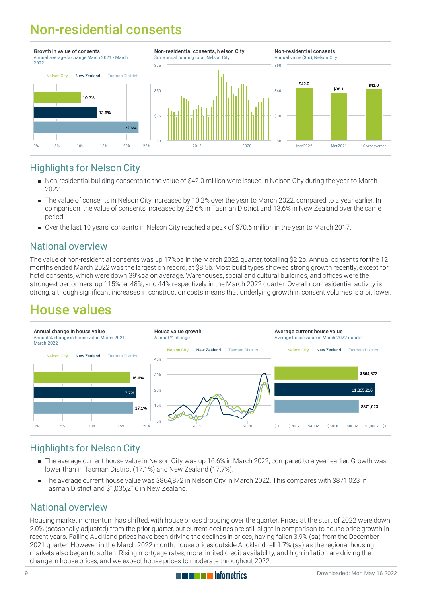# Non-residential consents



#### Highlights for Nelson City

- Non-residential building [consents](https://staging-qem.infometrics.co.nz/nelson-city/notes#building-consents) to the value of \$42.0 million were issued in Nelson City during the year to March 2022.
- The value of consents in Nelson City increased by 10.2% over the year to March 2022, compared to a year earlier. In comparison, the value of consents increased by 22.6% in Tasman District and 13.6% in New Zealand over the same period.
- Over the last 10 years, consents in Nelson City reached a peak of \$70.6 million in the year to March 2017.

#### National overview

The value of non-residential consents was up 17%pa in the March 2022 quarter, totalling \$2.2b. Annual consents for the 12 months ended March 2022 was the largest on record, at \$8.5b. Most build types showed strong growth recently, except for hotel consents, which were down 39%pa on average. Warehouses, social and cultural buildings, and offices were the strongest performers, up 115%pa, 48%, and 44% respectively in the March 2022 quarter. Overall non-residential activity is strong, although significant increases in construction costs means that underlying growth in consent volumes is a bit lower.

### House values



#### Highlights for Nelson City

- The average current [house](https://staging-qem.infometrics.co.nz/nelson-city/notes#house-values) value in Nelson City was up 16.6% in March 2022, compared to a year earlier. Growth was lower than in Tasman District (17.1%) and New Zealand (17.7%).
- The average current house value was \$864,872 in Nelson City in March 2022. This compares with \$871,023 in  $\blacksquare$ Tasman District and \$1,035,216 in New Zealand.

#### National overview

Housing market momentum has shifted, with house prices dropping over the quarter. Prices at the start of 2022 were down 2.0% (seasonally adjusted) from the prior quarter, but current declines are still slight in comparison to house price growth in recent years. Falling Auckland prices have been driving the declines in prices, having fallen 3.9% (sa) from the December 2021 quarter. However, in the March 2022 month, house prices outside Auckland fell 1.7% (sa) as the regional housing markets also began to soften. Rising mortgage rates, more limited credit availability, and high inflation are driving the change in house prices, and we expect house prices to moderate throughout 2022.

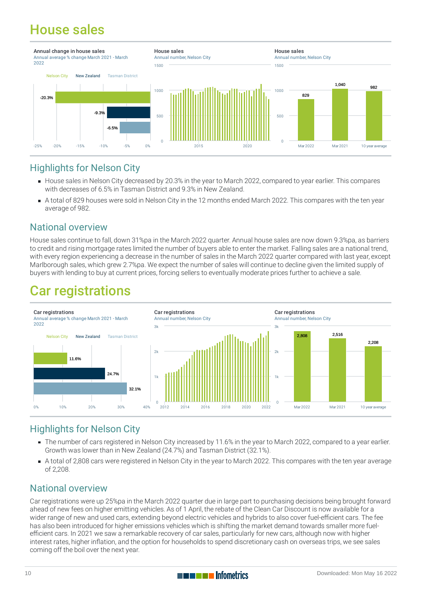### House sales



#### Highlights for Nelson City

- [House](https://staging-qem.infometrics.co.nz/nelson-city/notes#house-sales) sales in Nelson City decreased by 20.3% in the year to March 2022, compared to year earlier. This compares with decreases of 6.5% in Tasman District and 9.3% in New Zealand.
- A total of 829 houses were sold in Nelson City in the 12 months ended March 2022. This compares with the ten year average of 982.

#### National overview

House sales continue to fall, down 31%pa in the March 2022 quarter. Annual house sales are now down 9.3%pa, as barriers to credit and rising mortgage rates limited the number of buyers able to enter the market. Falling sales are a national trend, with every region experiencing a decrease in the number of sales in the March 2022 quarter compared with last year, except Marlborough sales, which grew 2.7%pa. We expect the number of sales will continue to decline given the limited supply of buyers with lending to buy at current prices, forcing sellers to eventually moderate prices further to achieve a sale.

### Car registrations



#### Highlights for Nelson City

- The number of cars registered in Nelson City increased by 11.6% in the year to March 2022, compared to a year earlier. Growth was lower than in New Zealand (24.7%) and Tasman District (32.1%).
- A total of 2,808 cars were registered in Nelson City in the year to March 2022. This compares with the ten year average of 2,208.

#### National overview

Car registrations were up 25%pa in the March 2022 quarter due in large part to purchasing decisions being brought forward ahead of new fees on higher emitting vehicles. As of 1 April, the rebate of the Clean Car Discount is now available for a wider range of new and used cars, extending beyond electric vehicles and hybrids to also cover fuel-efficient cars. The fee has also been introduced for higher emissions vehicles which is shifting the market demand towards smaller more fuelefficient cars. In 2021 we saw a remarkable recovery of car sales, particularly for new cars, although now with higher interest rates, higher inflation, and the option for households to spend discretionary cash on overseas trips, we see sales coming off the boil over the next year.

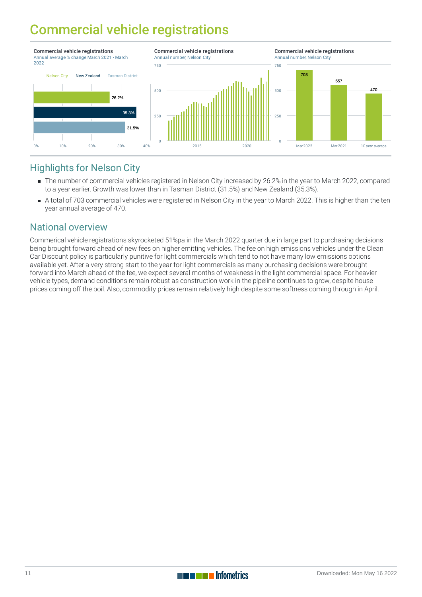### Commercial vehicle registrations



#### Highlights for Nelson City

- The number of commercial vehicles registered in Nelson City increased by 26.2% in the year to March 2022, compared to a year earlier. Growth was lower than in Tasman District (31.5%) and New Zealand (35.3%).
- A total of 703 commercial vehicles were registered in Nelson City in the year to March 2022. This is higher than the ten year annual average of 470.

#### National overview

Commerical vehicle registrations skyrocketed 51%pa in the March 2022 quarter due in large part to purchasing decisions being brought forward ahead of new fees on higher emitting vehicles. The fee on high emissions vehicles under the Clean Car Discount policy is particularly punitive for light commercials which tend to not have many low emissions options available yet. After a very strong start to the year for light commercials as many purchasing decisions were brought forward into March ahead of the fee, we expect several months of weakness in the light commercial space. For heavier vehicle types, demand conditions remain robust as construction work in the pipeline continues to grow, despite house prices coming off the boil. Also, commodity prices remain relatively high despite some softness coming through in April.



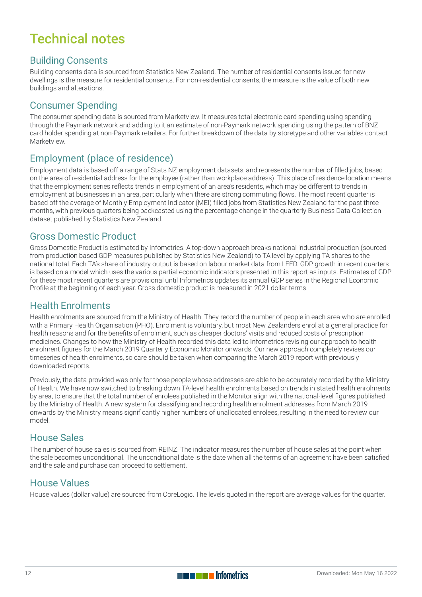## Technical notes

#### Building Consents

Building consents data is sourced from Statistics New Zealand. The number of residential consents issued for new dwellings is the measure for residential consents. For non-residential consents, the measure is the value of both new buildings and alterations.

#### Consumer Spending

The consumer spending data is sourced from Marketview. It measures total electronic card spending using spending through the Paymark network and adding to it an estimate of non-Paymark network spending using the pattern of BNZ card holder spending at non-Paymark retailers. For further breakdown of the data by storetype and other variables contact Marketview.

#### Employment (place of residence)

Employment data is based off a range of Stats NZ employment datasets, and represents the number of filled jobs, based on the area of residential address for the employee (rather than workplace address). This place of residence location means that the employment series reflects trends in employment of an area's residents, which may be different to trends in employment at businesses in an area, particularly when there are strong commuting flows. The most recent quarter is based off the average of Monthly Employment Indicator (MEI) filled jobs from Statistics New Zealand for the past three months, with previous quarters being backcasted using the percentage change in the quarterly Business Data Collection dataset published by Statistics New Zealand.

#### Gross Domestic Product

Gross Domestic Product is estimated by Infometrics. A top-down approach breaks national industrial production (sourced from production based GDP measures published by Statistics New Zealand) to TA level by applying TA shares to the national total. Each TA's share of industry output is based on labour market data from LEED. GDP growth in recent quarters is based on a model which uses the various partial economic indicators presented in this report as inputs. Estimates of GDP for these most recent quarters are provisional until Infometrics updates its annual GDP series in the Regional Economic Profile at the beginning of each year. Gross domestic product is measured in 2021 dollar terms.

#### Health Enrolments

Health enrolments are sourced from the Ministry of Health. They record the number of people in each area who are enrolled with a Primary Health Organisation (PHO). Enrolment is voluntary, but most New Zealanders enrol at a general practice for health reasons and for the benefits of enrolment, such as cheaper doctors' visits and reduced costs of prescription medicines. Changes to how the Ministry of Health recorded this data led to Infometrics revising our approach to health enrolment figures for the March 2019 Quarterly Economic Monitor onwards. Our new approach completely revises our timeseries of health enrolments, so care should be taken when comparing the March 2019 report with previously downloaded reports.

Previously, the data provided was only for those people whose addresses are able to be accurately recorded by the Ministry of Health. We have now switched to breaking down TA-level health enrolments based on trends in stated health enrolments by area, to ensure that the total number of enrolees published in the Monitor align with the national-level figures published by the Ministry of Health. A new system for classifying and recording health enrolment addresses from March 2019 onwards by the Ministry means significantly higher numbers of unallocated enrolees, resulting in the need to review our model.

#### House Sales

The number of house sales is sourced from REINZ. The indicator measures the number of house sales at the point when the sale becomes unconditional. The unconditional date is the date when all the terms of an agreement have been satisfied and the sale and purchase can proceed to settlement.

#### House Values

House values (dollar value) are sourced from CoreLogic. The levels quoted in the report are average values for the quarter.